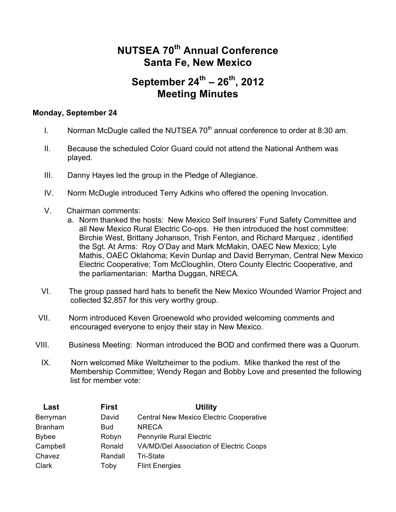## **NUTSEA 70th Annual Conference Santa Fe, New Mexico**

## **September 24th – 26th, 2012 Meeting Minutes**

## **Monday, September 24**

- I. Norman McDugle called the NUTSEA  $70<sup>th</sup>$  annual conference to order at 8:30 am.
- II. Because the scheduled Color Guard could not attend the National Anthem was played.
- III. Danny Hayes led the group in the Pledge of Allegiance.
- IV. Norm McDugle introduced Terry Adkins who offered the opening Invocation.
- V.Chairman comments:
	- a. Norm thanked the hosts: New Mexico Self Insurers' Fund Safety Committee and all New Mexico Rural Electric Co-ops. He then introduced the host committee: Birchie West, Brittany Johanson, Trish Fenton, and Richard Marquez , identified the Sgt. At Arms: Roy O'Day and Mark McMakin, OAEC New Mexico; Lyle Mathis, OAEC Oklahoma; Kevin Dunlap and David Berryman, Central New Mexico Electric Cooperative; Tom McCloughlin, Otero County Electric Cooperative, and the parliamentarian: Martha Duggan, NRECA.
- VI. The group passed hard hats to benefit the New Mexico Wounded Warrior Project and collected \$2,857 for this very worthy group.
- VII. Norm introduced Keven Groenewold who provided welcoming comments and encouraged everyone to enjoy their stay in New Mexico.
- VIII. Business Meeting: Norman introduced the BOD and confirmed there was a Quorum.
- IX. Norn welcomed Mike Weltzheimer to the podium. Mike thanked the rest of the Membership Committee; Wendy Regan and Bobby Love and presented the following list for member vote:

| Last           | <b>First</b> | <b>Utility</b>                                 |
|----------------|--------------|------------------------------------------------|
| Berryman       | David        | <b>Central New Mexico Electric Cooperative</b> |
| <b>Branham</b> | <b>Bud</b>   | <b>NRECA</b>                                   |
| <b>Bybee</b>   | Robyn        | <b>Pennyrile Rural Electric</b>                |
| Campbell       | Ronald       | VA/MD/Del Association of Electric Coops        |
| Chavez         | Randall      | <b>Tri-State</b>                               |
| Clark          | Toby         | <b>Flint Energies</b>                          |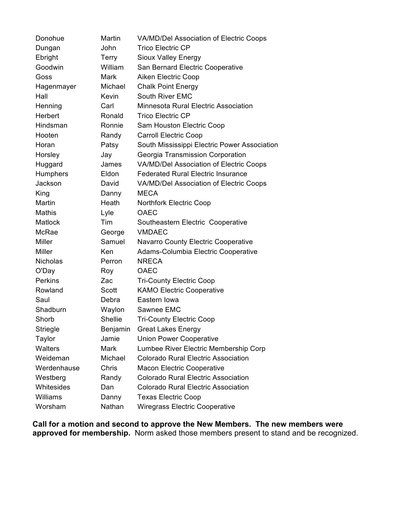| Donohue         | Martin         | VA/MD/Del Association of Electric Coops      |
|-----------------|----------------|----------------------------------------------|
| Dungan          | John           | <b>Trico Electric CP</b>                     |
| Ebright         | <b>Terry</b>   | Sioux Valley Energy                          |
| Goodwin         | William        | San Bernard Electric Cooperative             |
| Goss            | Mark           | Aiken Electric Coop                          |
| Hagenmayer      | Michael        | <b>Chalk Point Energy</b>                    |
| Hall            | <b>Kevin</b>   | South River EMC                              |
| Henning         | Carl           | Minnesota Rural Electric Association         |
| Herbert         | Ronald         | <b>Trico Electric CP</b>                     |
| Hindsman        | Ronnie         | Sam Houston Electric Coop                    |
| Hooten          | Randy          | <b>Carroll Electric Coop</b>                 |
| Horan           | Patsy          | South Mississippi Electric Power Association |
| Horsley         | Jay            | Georgia Transmission Corporation             |
| Huggard         | James          | VA/MD/Del Association of Electric Coops      |
| <b>Humphers</b> | Eldon          | <b>Federated Rural Electric Insurance</b>    |
| Jackson         | David          | VA/MD/Del Association of Electric Coops      |
| King            | Danny          | <b>MECA</b>                                  |
| Martin          | Heath          | <b>Northfork Electric Coop</b>               |
| Mathis          | Lyle           | <b>OAEC</b>                                  |
| <b>Matlock</b>  | Tim            | Southeastern Electric Cooperative            |
| McRae           | George         | <b>VMDAEC</b>                                |
| <b>Miller</b>   | Samuel         | Navarro County Electric Cooperative          |
| <b>Miller</b>   | Ken            | Adams-Columbia Electric Cooperative          |
| <b>Nicholas</b> | Perron         | <b>NRECA</b>                                 |
| O'Day           | Roy            | OAEC                                         |
| <b>Perkins</b>  | Zac            | <b>Tri-County Electric Coop</b>              |
| Rowland         | Scott          | <b>KAMO Electric Cooperative</b>             |
| Saul            | Debra          | Eastern Iowa                                 |
| Shadburn        | Waylon         | Sawnee EMC                                   |
| Shorb           | <b>Shellie</b> | <b>Tri-County Electric Coop</b>              |
| <b>Striegle</b> | Benjamin       | <b>Great Lakes Energy</b>                    |
| Taylor          | Jamie          | <b>Union Power Cooperative</b>               |
| <b>Walters</b>  | Mark           | Lumbee River Electric Membership Corp        |
| Weideman        | Michael        | <b>Colorado Rural Electric Association</b>   |
| Werdenhause     | Chris          | <b>Macon Electric Cooperative</b>            |
| Westberg        | Randy          | <b>Colorado Rural Electric Association</b>   |
| Whitesides      | Dan            | <b>Colorado Rural Electric Association</b>   |
| Williams        | Danny          | <b>Texas Electric Coop</b>                   |
| Worsham         | Nathan         | <b>Wiregrass Electric Cooperative</b>        |

**Call for a motion and second to approve the New Members. The new members were approved for membership.** Norm asked those members present to stand and be recognized.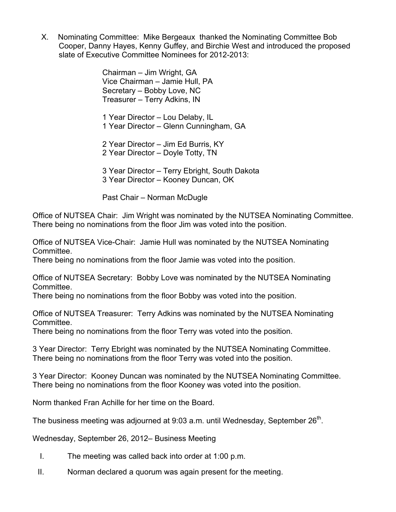X. Nominating Committee: Mike Bergeaux thanked the Nominating Committee Bob Cooper, Danny Hayes, Kenny Guffey, and Birchie West and introduced the proposed slate of Executive Committee Nominees for 2012-2013:

> Chairman – Jim Wright, GA Vice Chairman – Jamie Hull, PA Secretary – Bobby Love, NC Treasurer – Terry Adkins, IN

1 Year Director – Lou Delaby, IL 1 Year Director – Glenn Cunningham, GA

2 Year Director – Jim Ed Burris, KY 2 Year Director – Doyle Totty, TN

3 Year Director – Terry Ebright, South Dakota 3 Year Director – Kooney Duncan, OK

Past Chair – Norman McDugle

Office of NUTSEA Chair: Jim Wright was nominated by the NUTSEA Nominating Committee. There being no nominations from the floor Jim was voted into the position.

Office of NUTSEA Vice-Chair: Jamie Hull was nominated by the NUTSEA Nominating Committee.

There being no nominations from the floor Jamie was voted into the position.

Office of NUTSEA Secretary: Bobby Love was nominated by the NUTSEA Nominating Committee.

There being no nominations from the floor Bobby was voted into the position.

Office of NUTSEA Treasurer: Terry Adkins was nominated by the NUTSEA Nominating Committee.

There being no nominations from the floor Terry was voted into the position.

3 Year Director: Terry Ebright was nominated by the NUTSEA Nominating Committee. There being no nominations from the floor Terry was voted into the position.

3 Year Director: Kooney Duncan was nominated by the NUTSEA Nominating Committee. There being no nominations from the floor Kooney was voted into the position.

Norm thanked Fran Achille for her time on the Board.

The business meeting was adjourned at 9:03 a.m. until Wednesday, September 26<sup>th</sup>.

Wednesday, September 26, 2012– Business Meeting

- I. The meeting was called back into order at 1:00 p.m.
- II. Norman declared a quorum was again present for the meeting.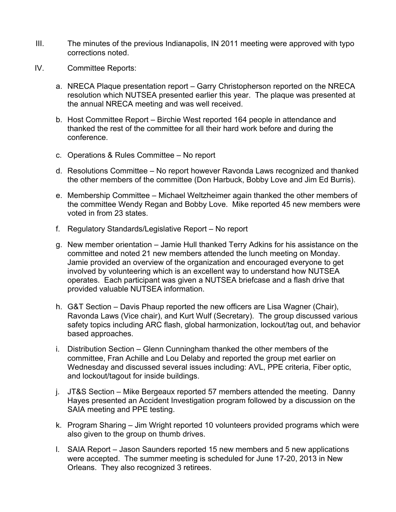- III. The minutes of the previous Indianapolis, IN 2011 meeting were approved with typo corrections noted.
- IV. Committee Reports:
	- a. NRECA Plaque presentation report Garry Christopherson reported on the NRECA resolution which NUTSEA presented earlier this year. The plaque was presented at the annual NRECA meeting and was well received.
	- b. Host Committee Report Birchie West reported 164 people in attendance and thanked the rest of the committee for all their hard work before and during the conference.
	- c. Operations & Rules Committee No report
	- d. Resolutions Committee No report however Ravonda Laws recognized and thanked the other members of the committee (Don Harbuck, Bobby Love and Jim Ed Burris).
	- e. Membership Committee Michael Weltzheimer again thanked the other members of the committee Wendy Regan and Bobby Love. Mike reported 45 new members were voted in from 23 states.
	- f. Regulatory Standards/Legislative Report No report
	- g. New member orientation Jamie Hull thanked Terry Adkins for his assistance on the committee and noted 21 new members attended the lunch meeting on Monday. Jamie provided an overview of the organization and encouraged everyone to get involved by volunteering which is an excellent way to understand how NUTSEA operates. Each participant was given a NUTSEA briefcase and a flash drive that provided valuable NUTSEA information.
	- h. G&T Section Davis Phaup reported the new officers are Lisa Wagner (Chair), Ravonda Laws (Vice chair), and Kurt Wulf (Secretary). The group discussed various safety topics including ARC flash, global harmonization, lockout/tag out, and behavior based approaches.
	- i. Distribution Section Glenn Cunningham thanked the other members of the committee, Fran Achille and Lou Delaby and reported the group met earlier on Wednesday and discussed several issues including: AVL, PPE criteria, Fiber optic, and lockout/tagout for inside buildings.
	- j. JT&S Section Mike Bergeaux reported 57 members attended the meeting. Danny Hayes presented an Accident Investigation program followed by a discussion on the SAIA meeting and PPE testing.
	- k. Program Sharing Jim Wright reported 10 volunteers provided programs which were also given to the group on thumb drives.
	- l. SAIA Report Jason Saunders reported 15 new members and 5 new applications were accepted. The summer meeting is scheduled for June 17-20, 2013 in New Orleans. They also recognized 3 retirees.